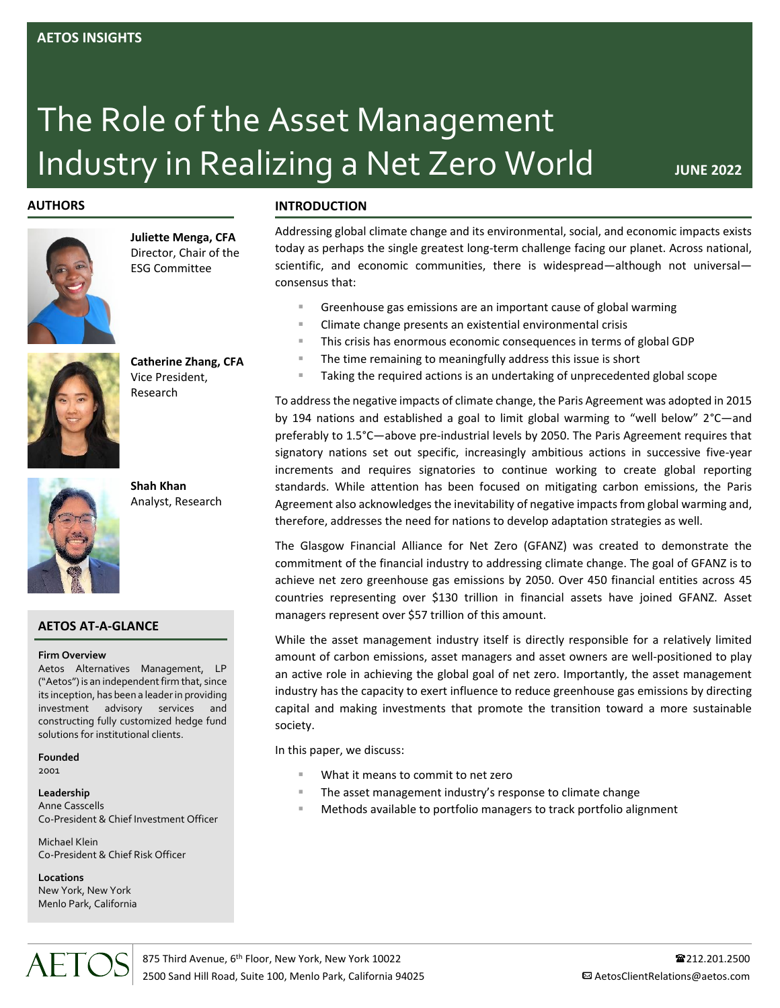# The Role of the Asset Management **Industry in Realizing a Net Zero World** JUNE 2022

# **AUTHORS**



**Juliette Menga, CFA** Director, Chair of the ESG Committee

**Catherine Zhang, CFA**

Vice President, Research

**Shah Khan** Analyst, Research

## **AETOS AT-A-GLANCE**

#### **Firm Overview**

Aetos Alternatives Management, LP ("Aetos") is an independent firm that, since its inception, has been a leader in providing investment advisory services and constructing fully customized hedge fund solutions for institutional clients.

**Founded** 2001

**Leadership**

Anne Casscells Co-President & Chief Investment Officer

Michael Klein Co-President & Chief Risk Officer

**Locations** New York, New York Menlo Park, California

AFTC

## **INTRODUCTION**

Addressing global climate change and its environmental, social, and economic impacts exists today as perhaps the single greatest long-term challenge facing our planet. Across national, scientific, and economic communities, there is widespread—although not universal consensus that:

- Greenhouse gas emissions are an important cause of global warming
- Climate change presents an existential environmental crisis
- This crisis has enormous economic consequences in terms of global GDP
- The time remaining to meaningfully address this issue is short
- Taking the required actions is an undertaking of unprecedented global scope

To address the negative impacts of climate change, the Paris Agreement was adopted in 2015 by 194 nations and established a goal to limit global warming to "well below" 2°C—and preferably to 1.5°C—above pre-industrial levels by 2050. The Paris Agreement requires that signatory nations set out specific, increasingly ambitious actions in successive five-year increments and requires signatories to continue working to create global reporting standards. While attention has been focused on mitigating carbon emissions, the Paris Agreement also acknowledges the inevitability of negative impacts from global warming and, therefore, addresses the need for nations to develop adaptation strategies as well.

The Glasgow Financial Alliance for Net Zero (GFANZ) was created to demonstrate the commitment of the financial industry to addressing climate change. The goal of GFANZ is to achieve net zero greenhouse gas emissions by 2050. Over 450 financial entities across 45 countries representing over \$130 trillion in financial assets have joined GFANZ. Asset managers represent over \$57 trillion of this amount.

While the asset management industry itself is directly responsible for a relatively limited amount of carbon emissions, asset managers and asset owners are well-positioned to play an active role in achieving the global goal of net zero. Importantly, the asset management industry has the capacity to exert influence to reduce greenhouse gas emissions by directing capital and making investments that promote the transition toward a more sustainable society.

In this paper, we discuss:

- What it means to commit to net zero
- The asset management industry's response to climate change
- Methods available to portfolio managers to track portfolio alignment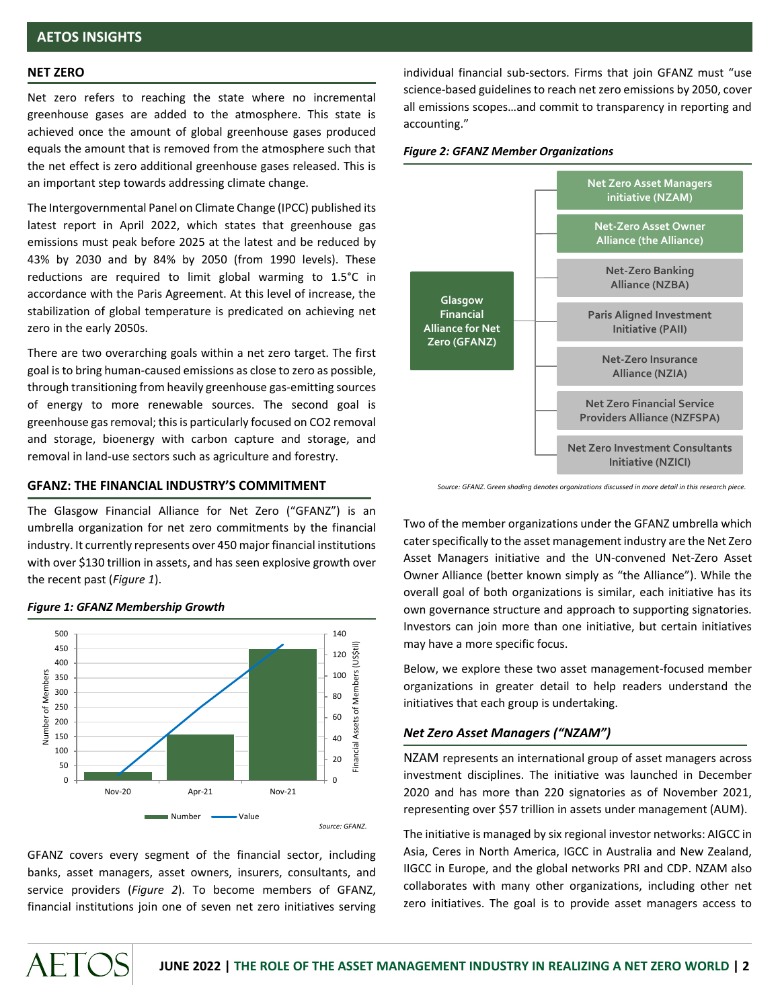#### **NET ZERO**

Net zero refers to reaching the state where no incremental greenhouse gases are added to the atmosphere. This state is achieved once the amount of global greenhouse gases produced equals the amount that is removed from the atmosphere such that the net effect is zero additional greenhouse gases released. This is an important step towards addressing climate change.

The Intergovernmental Panel on Climate Change (IPCC) published its latest report in April 2022, which states that greenhouse gas emissions must peak before 2025 at the latest and be reduced by 43% by 2030 and by 84% by 2050 (from 1990 levels). These reductions are required to limit global warming to 1.5°C in accordance with the Paris Agreement. At this level of increase, the stabilization of global temperature is predicated on achieving net zero in the early 2050s.

There are two overarching goals within a net zero target. The first goal is to bring human-caused emissions as close to zero as possible, through transitioning from heavily greenhouse gas-emitting sources of energy to more renewable sources. The second goal is greenhouse gas removal; this is particularly focused on CO2 removal and storage, bioenergy with carbon capture and storage, and removal in land-use sectors such as agriculture and forestry.

#### **GFANZ: THE FINANCIAL INDUSTRY'S COMMITMENT**

The Glasgow Financial Alliance for Net Zero ("GFANZ") is an umbrella organization for net zero commitments by the financial industry. It currently represents over 450 major financial institutions with over \$130 trillion in assets, and has seen explosive growth over the recent past (*Figure 1*).



#### *Figure 1: GFANZ Membership Growth*

AFTOS

GFANZ covers every segment of the financial sector, including banks, asset managers, asset owners, insurers, consultants, and service providers (*Figure 2*). To become members of GFANZ, financial institutions join one of seven net zero initiatives serving individual financial sub-sectors. Firms that join GFANZ must "use science-based guidelines to reach net zero emissions by 2050, cover all emissions scopes…and commit to transparency in reporting and accounting."

#### *Figure 2: GFANZ Member Organizations*



*Source: GFANZ*. G*reen shading denotes organizations discussed in more detail in this research piece.*

Two of the member organizations under the GFANZ umbrella which cater specifically to the asset management industry are the Net Zero Asset Managers initiative and the UN-convened Net-Zero Asset Owner Alliance (better known simply as "the Alliance"). While the overall goal of both organizations is similar, each initiative has its own governance structure and approach to supporting signatories. Investors can join more than one initiative, but certain initiatives may have a more specific focus.

Below, we explore these two asset management-focused member organizations in greater detail to help readers understand the initiatives that each group is undertaking.

#### *Net Zero Asset Managers ("NZAM")*

NZAM represents an international group of asset managers across investment disciplines. The initiative was launched in December 2020 and has more than 220 signatories as of November 2021, representing over \$57 trillion in assets under management (AUM).

The initiative is managed by six regional investor networks: AIGCC in Asia, Ceres in North America, IGCC in Australia and New Zealand, IIGCC in Europe, and the global networks PRI and CDP. NZAM also collaborates with many other organizations, including other net zero initiatives. The goal is to provide asset managers access to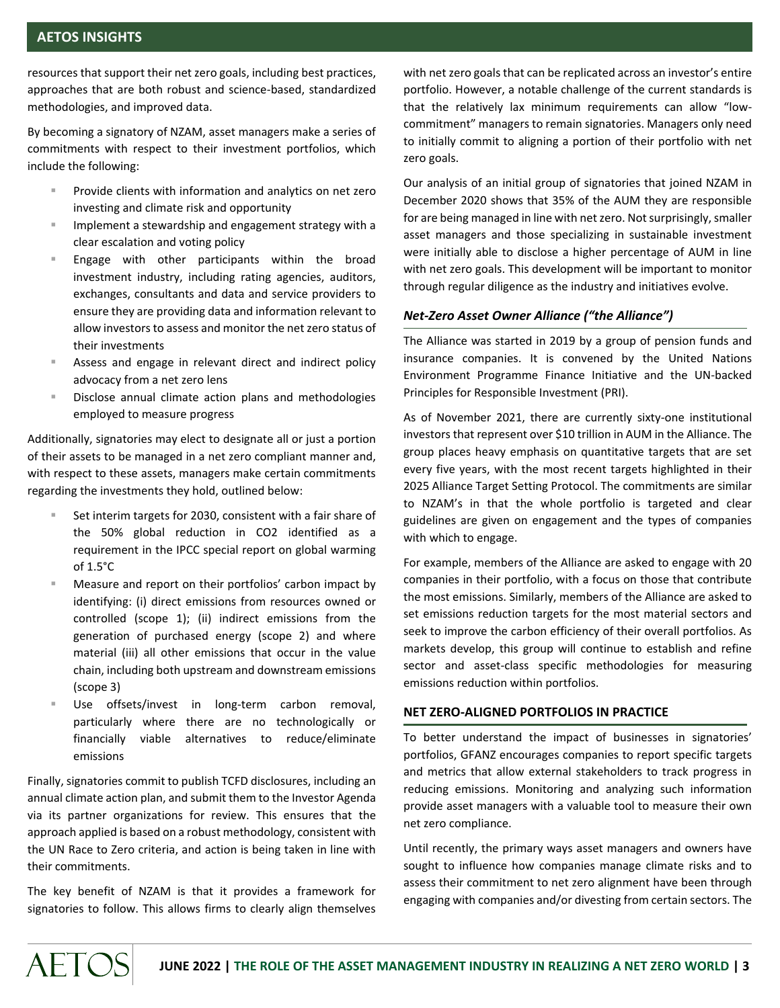resources that support their net zero goals, including best practices, approaches that are both robust and science-based, standardized methodologies, and improved data.

By becoming a signatory of NZAM, asset managers make a series of commitments with respect to their investment portfolios, which include the following:

- Provide clients with information and analytics on net zero investing and climate risk and opportunity
- Implement a stewardship and engagement strategy with a clear escalation and voting policy
- Engage with other participants within the broad investment industry, including rating agencies, auditors, exchanges, consultants and data and service providers to ensure they are providing data and information relevant to allow investors to assess and monitor the net zero status of their investments
- Assess and engage in relevant direct and indirect policy advocacy from a net zero lens
- Disclose annual climate action plans and methodologies employed to measure progress

Additionally, signatories may elect to designate all or just a portion of their assets to be managed in a net zero compliant manner and, with respect to these assets, managers make certain commitments regarding the investments they hold, outlined below:

- Set interim targets for 2030, consistent with a fair share of the 50% global reduction in CO2 identified as a requirement in the IPCC special report on global warming of 1.5°C
- Measure and report on their portfolios' carbon impact by identifying: (i) direct emissions from resources owned or controlled (scope 1); (ii) indirect emissions from the generation of purchased energy (scope 2) and where material (iii) all other emissions that occur in the value chain, including both upstream and downstream emissions (scope 3)
- Use offsets/invest in long-term carbon removal, particularly where there are no technologically or financially viable alternatives to reduce/eliminate emissions

Finally, signatories commit to publish TCFD disclosures, including an annual climate action plan, and submit them to the Investor Agenda via its partner organizations for review. This ensures that the approach applied is based on a robust methodology, consistent with the UN Race to Zero criteria, and action is being taken in line with their commitments.

The key benefit of NZAM is that it provides a framework for signatories to follow. This allows firms to clearly align themselves with net zero goals that can be replicated across an investor's entire portfolio. However, a notable challenge of the current standards is that the relatively lax minimum requirements can allow "lowcommitment" managers to remain signatories. Managers only need to initially commit to aligning a portion of their portfolio with net zero goals.

Our analysis of an initial group of signatories that joined NZAM in December 2020 shows that 35% of the AUM they are responsible for are being managed in line with net zero. Not surprisingly, smaller asset managers and those specializing in sustainable investment were initially able to disclose a higher percentage of AUM in line with net zero goals. This development will be important to monitor through regular diligence as the industry and initiatives evolve.

## *Net-Zero Asset Owner Alliance ("the Alliance")*

The Alliance was started in 2019 by a group of pension funds and insurance companies. It is convened by the United Nations Environment Programme Finance Initiative and the UN-backed Principles for Responsible Investment (PRI).

As of November 2021, there are currently sixty-one institutional investors that represent over \$10 trillion in AUM in the Alliance. The group places heavy emphasis on quantitative targets that are set every five years, with the most recent targets highlighted in their 2025 Alliance Target Setting Protocol. The commitments are similar to NZAM's in that the whole portfolio is targeted and clear guidelines are given on engagement and the types of companies with which to engage.

For example, members of the Alliance are asked to engage with 20 companies in their portfolio, with a focus on those that contribute the most emissions. Similarly, members of the Alliance are asked to set emissions reduction targets for the most material sectors and seek to improve the carbon efficiency of their overall portfolios. As markets develop, this group will continue to establish and refine sector and asset-class specific methodologies for measuring emissions reduction within portfolios.

### **NET ZERO-ALIGNED PORTFOLIOS IN PRACTICE**

To better understand the impact of businesses in signatories' portfolios, GFANZ encourages companies to report specific targets and metrics that allow external stakeholders to track progress in reducing emissions. Monitoring and analyzing such information provide asset managers with a valuable tool to measure their own net zero compliance.

Until recently, the primary ways asset managers and owners have sought to influence how companies manage climate risks and to assess their commitment to net zero alignment have been through engaging with companies and/or divesting from certain sectors. The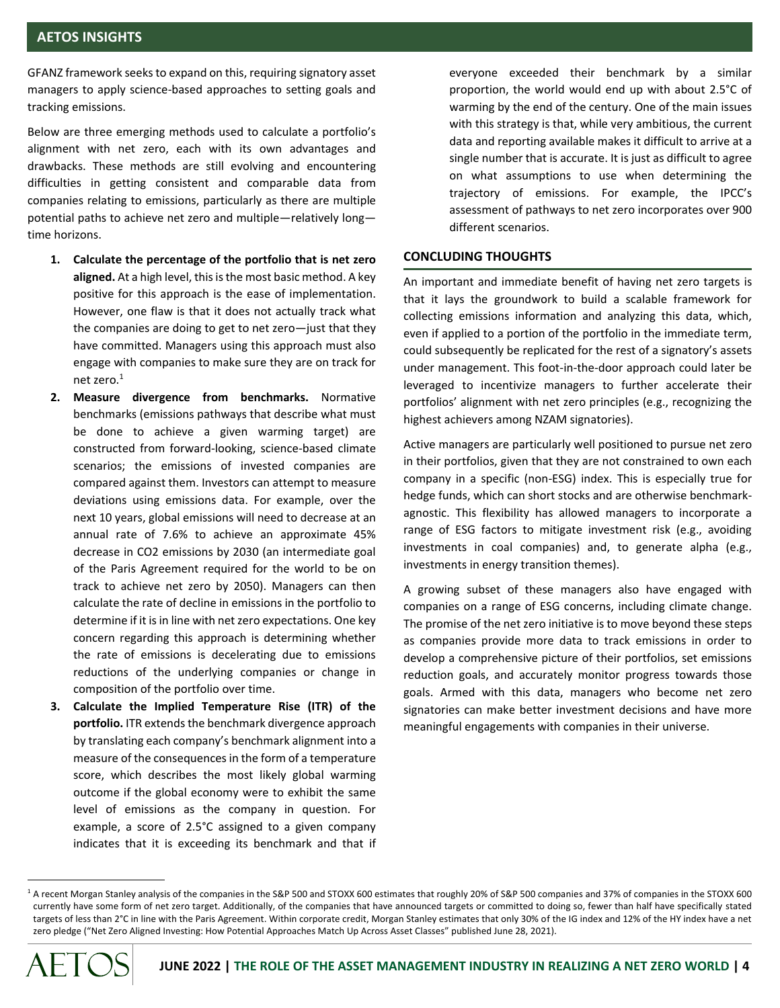GFANZ framework seeks to expand on this, requiring signatory asset managers to apply science-based approaches to setting goals and tracking emissions.

Below are three emerging methods used to calculate a portfolio's alignment with net zero, each with its own advantages and drawbacks. These methods are still evolving and encountering difficulties in getting consistent and comparable data from companies relating to emissions, particularly as there are multiple potential paths to achieve net zero and multiple—relatively long time horizons.

- **1. Calculate the percentage of the portfolio that is net zero aligned.** At a high level, this is the most basic method. A key positive for this approach is the ease of implementation. However, one flaw is that it does not actually track what the companies are doing to get to net zero—just that they have committed. Managers using this approach must also engage with companies to make sure they are on track for net zero. 1
- **2. Measure divergence from benchmarks.** Normative benchmarks (emissions pathways that describe what must be done to achieve a given warming target) are constructed from forward-looking, science-based climate scenarios; the emissions of invested companies are compared against them. Investors can attempt to measure deviations using emissions data. For example, over the next 10 years, global emissions will need to decrease at an annual rate of 7.6% to achieve an approximate 45% decrease in CO2 emissions by 2030 (an intermediate goal of the Paris Agreement required for the world to be on track to achieve net zero by 2050). Managers can then calculate the rate of decline in emissions in the portfolio to determine if it is in line with net zero expectations. One key concern regarding this approach is determining whether the rate of emissions is decelerating due to emissions reductions of the underlying companies or change in composition of the portfolio over time.
- **3. Calculate the Implied Temperature Rise (ITR) of the portfolio.** ITR extends the benchmark divergence approach by translating each company's benchmark alignment into a measure of the consequences in the form of a temperature score, which describes the most likely global warming outcome if the global economy were to exhibit the same level of emissions as the company in question. For example, a score of 2.5°C assigned to a given company indicates that it is exceeding its benchmark and that if

everyone exceeded their benchmark by a similar proportion, the world would end up with about 2.5°C of warming by the end of the century. One of the main issues with this strategy is that, while very ambitious, the current data and reporting available makes it difficult to arrive at a single number that is accurate. It is just as difficult to agree on what assumptions to use when determining the trajectory of emissions. For example, the IPCC's assessment of pathways to net zero incorporates over 900 different scenarios.

## **CONCLUDING THOUGHTS**

An important and immediate benefit of having net zero targets is that it lays the groundwork to build a scalable framework for collecting emissions information and analyzing this data, which, even if applied to a portion of the portfolio in the immediate term, could subsequently be replicated for the rest of a signatory's assets under management. This foot-in-the-door approach could later be leveraged to incentivize managers to further accelerate their portfolios' alignment with net zero principles (e.g., recognizing the highest achievers among NZAM signatories).

Active managers are particularly well positioned to pursue net zero in their portfolios, given that they are not constrained to own each company in a specific (non-ESG) index. This is especially true for hedge funds, which can short stocks and are otherwise benchmarkagnostic. This flexibility has allowed managers to incorporate a range of ESG factors to mitigate investment risk (e.g., avoiding investments in coal companies) and, to generate alpha (e.g., investments in energy transition themes).

A growing subset of these managers also have engaged with companies on a range of ESG concerns, including climate change. The promise of the net zero initiative is to move beyond these steps as companies provide more data to track emissions in order to develop a comprehensive picture of their portfolios, set emissions reduction goals, and accurately monitor progress towards those goals. Armed with this data, managers who become net zero signatories can make better investment decisions and have more meaningful engagements with companies in their universe.

<sup>&</sup>lt;sup>1</sup> A recent Morgan Stanley analysis of the companies in the S&P 500 and STOXX 600 estimates that roughly 20% of S&P 500 companies and 37% of companies in the STOXX 600 currently have some form of net zero target. Additionally, of the companies that have announced targets or committed to doing so, fewer than half have specifically stated targets of less than 2°C in line with the Paris Agreement. Within corporate credit, Morgan Stanley estimates that only 30% of the IG index and 12% of the HY index have a net zero pledge ("Net Zero Aligned Investing: How Potential Approaches Match Up Across Asset Classes" published June 28, 2021).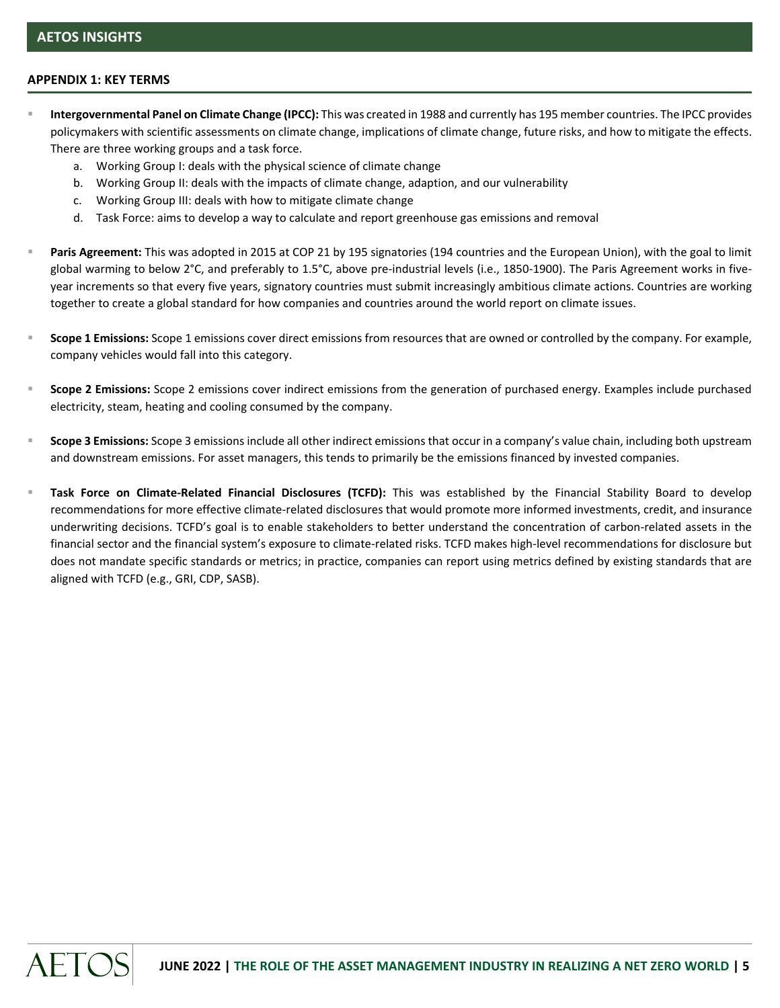## **APPENDIX 1: KEY TERMS**

- Intergovernmental Panel on Climate Change (IPCC): This was created in 1988 and currently has 195 member countries. The IPCC provides policymakers with scientific assessments on climate change, implications of climate change, future risks, and how to mitigate the effects. There are three working groups and a task force.
	- a. Working Group I: deals with the physical science of climate change
	- b. Working Group II: deals with the impacts of climate change, adaption, and our vulnerability
	- c. Working Group III: deals with how to mitigate climate change
	- d. Task Force: aims to develop a way to calculate and report greenhouse gas emissions and removal
- Paris Agreement: This was adopted in 2015 at COP 21 by 195 signatories (194 countries and the European Union), with the goal to limit global warming to below 2°C, and preferably to 1.5°C, above pre-industrial levels (i.e., 1850-1900). The Paris Agreement works in fiveyear increments so that every five years, signatory countries must submit increasingly ambitious climate actions. Countries are working together to create a global standard for how companies and countries around the world report on climate issues.
- **Scope 1 Emissions:** Scope 1 emissions cover direct emissions from resources that are owned or controlled by the company. For example, company vehicles would fall into this category.
- **Scope 2 Emissions:** Scope 2 emissions cover indirect emissions from the generation of purchased energy. Examples include purchased electricity, steam, heating and cooling consumed by the company.
- Scope 3 Emissions: Scope 3 emissions include all other indirect emissions that occur in a company's value chain, including both upstream and downstream emissions. For asset managers, this tends to primarily be the emissions financed by invested companies.
- Task Force on Climate-Related Financial Disclosures (TCFD): This was established by the Financial Stability Board to develop recommendations for more effective climate-related disclosures that would promote more informed investments, credit, and insurance underwriting decisions. TCFD's goal is to enable stakeholders to better understand the concentration of carbon-related assets in the financial sector and the financial system's exposure to climate-related risks. TCFD makes high-level recommendations for disclosure but does not mandate specific standards or metrics; in practice, companies can report using metrics defined by existing standards that are aligned with TCFD (e.g., GRI, CDP, SASB).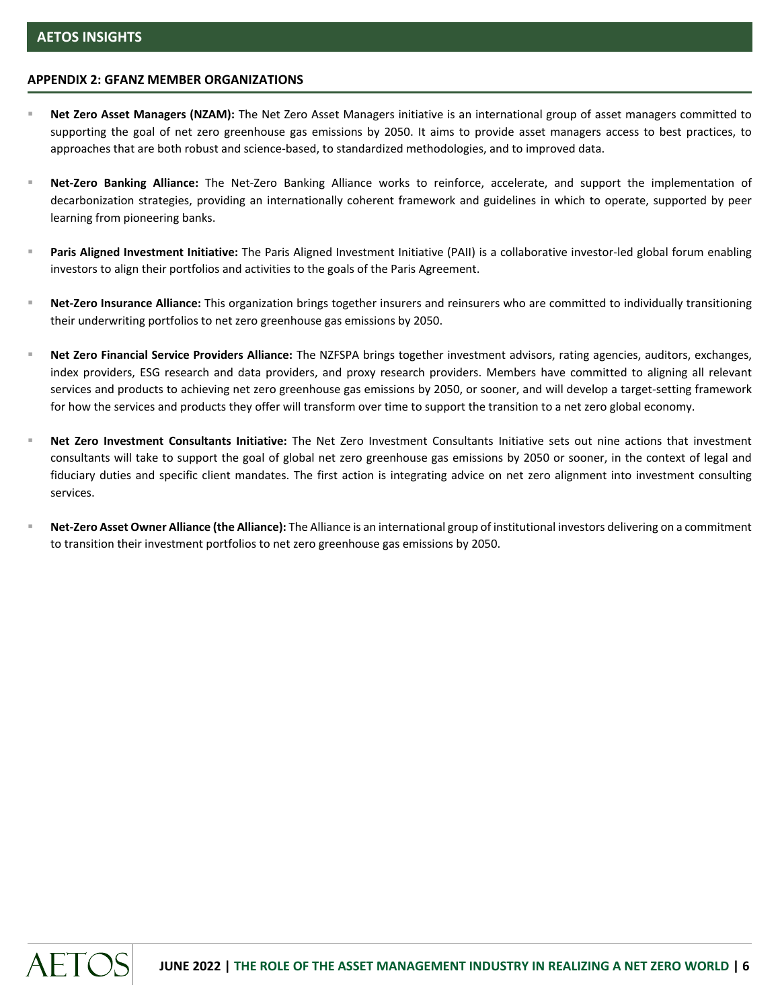### **APPENDIX 2: GFANZ MEMBER ORGANIZATIONS**

- Net Zero Asset Managers (NZAM): The Net Zero Asset Managers initiative is an international group of asset managers committed to supporting the goal of net zero greenhouse gas emissions by 2050. It aims to provide asset managers access to best practices, to approaches that are both robust and science-based, to standardized methodologies, and to improved data.
- Net-Zero Banking Alliance: The Net-Zero Banking Alliance works to reinforce, accelerate, and support the implementation of decarbonization strategies, providing an internationally coherent framework and guidelines in which to operate, supported by peer learning from pioneering banks.
- Paris Aligned Investment Initiative: The Paris Aligned Investment Initiative (PAII) is a collaborative investor-led global forum enabling investors to align their portfolios and activities to the goals of the Paris Agreement.
- Net-Zero Insurance Alliance: This organization brings together insurers and reinsurers who are committed to individually transitioning their underwriting portfolios to net zero greenhouse gas emissions by 2050.
- Net Zero Financial Service Providers Alliance: The NZFSPA brings together investment advisors, rating agencies, auditors, exchanges, index providers, ESG research and data providers, and proxy research providers. Members have committed to aligning all relevant services and products to achieving net zero greenhouse gas emissions by 2050, or sooner, and will develop a target-setting framework for how the services and products they offer will transform over time to support the transition to a net zero global economy.
- Net Zero Investment Consultants Initiative: The Net Zero Investment Consultants Initiative sets out nine actions that investment consultants will take to support the goal of global net zero greenhouse gas emissions by 2050 or sooner, in the context of legal and fiduciary duties and specific client mandates. The first action is integrating advice on net zero alignment into investment consulting services.
- **Net-Zero Asset Owner Alliance (the Alliance):** The Alliance is an international group of institutional investors delivering on a commitment to transition their investment portfolios to net zero greenhouse gas emissions by 2050.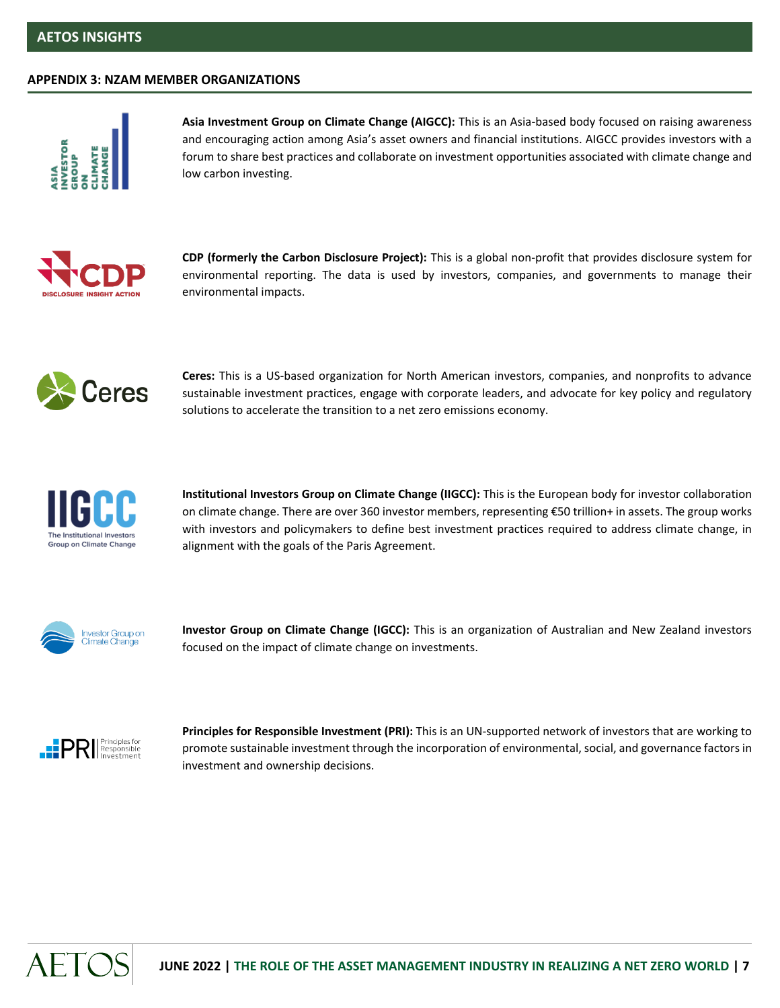#### **APPENDIX 3: NZAM MEMBER ORGANIZATIONS**



**Asia Investment Group on Climate Change (AIGCC):** This is an Asia-based body focused on raising awareness and encouraging action among Asia's asset owners and financial institutions. AIGCC provides investors with a forum to share best practices and collaborate on investment opportunities associated with climate change and low carbon investing.



**CDP (formerly the Carbon Disclosure Project):** This is a global non-profit that provides disclosure system for environmental reporting. The data is used by investors, companies, and governments to manage their environmental impacts.



**Ceres:** This is a US-based organization for North American investors, companies, and nonprofits to advance sustainable investment practices, engage with corporate leaders, and advocate for key policy and regulatory solutions to accelerate the transition to a net zero emissions economy.



**Institutional Investors Group on Climate Change (IIGCC):** This is the European body for investor collaboration on climate change. There are over 360 investor members, representing €50 trillion+ in assets. The group works with investors and policymakers to define best investment practices required to address climate change, in alignment with the goals of the Paris Agreement.



**Investor Group on Climate Change (IGCC):** This is an organization of Australian and New Zealand investors focused on the impact of climate change on investments.



**Principles for Responsible Investment (PRI):** This is an UN-supported network of investors that are working to promote sustainable investment through the incorporation of environmental, social, and governance factors in investment and ownership decisions.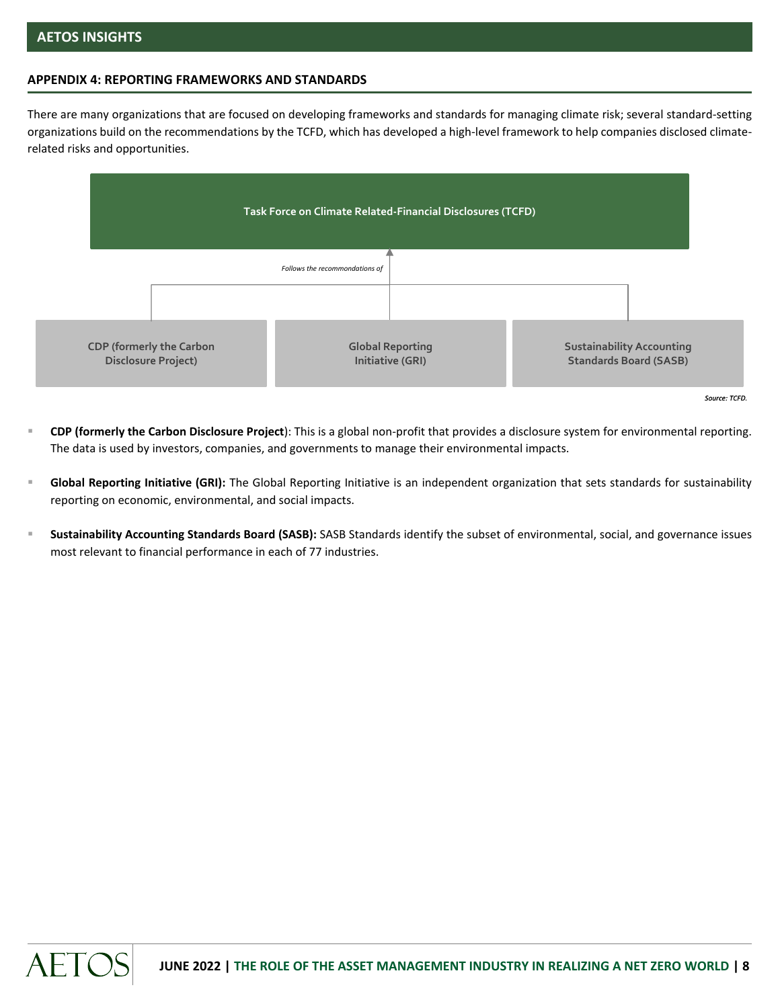## **APPENDIX 4: REPORTING FRAMEWORKS AND STANDARDS**

There are many organizations that are focused on developing frameworks and standards for managing climate risk; several standard-setting organizations build on the recommendations by the TCFD, which has developed a high-level framework to help companies disclosed climaterelated risks and opportunities.



*Source: TCFD.*

- **CDP (formerly the Carbon Disclosure Project**): This is a global non-profit that provides a disclosure system for environmental reporting. The data is used by investors, companies, and governments to manage their environmental impacts.
- Global Reporting Initiative (GRI): The Global Reporting Initiative is an independent organization that sets standards for sustainability reporting on economic, environmental, and social impacts.
- Sustainability Accounting Standards Board (SASB): SASB Standards identify the subset of environmental, social, and governance issues most relevant to financial performance in each of 77 industries.